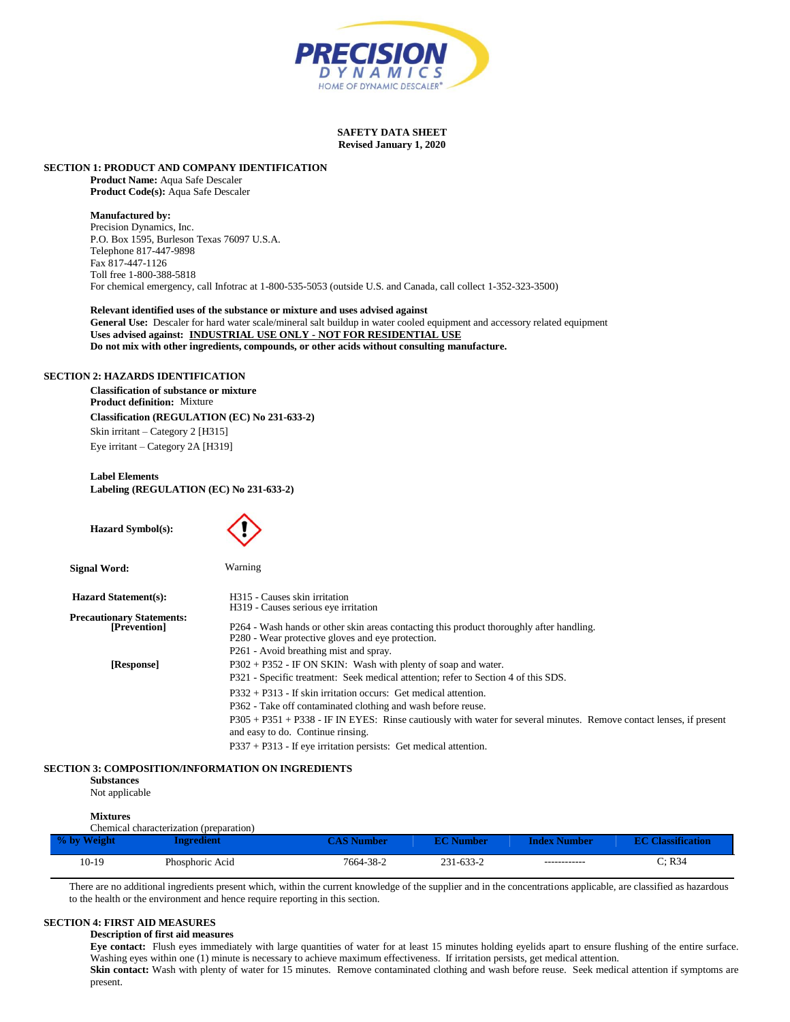

#### **SAFETY DATA SHEET Revised January 1, 2020**

#### **SECTION 1: PRODUCT AND COMPANY IDENTIFICATION**

**Product Name:** Aqua Safe Descaler **Product Code(s):** Aqua Safe Descaler

# **Manufactured by:**

Precision Dynamics, Inc. P.O. Box 1595, Burleson Texas 76097 U.S.A. Telephone 817-447-9898 Fax 817-447-1126 Toll free 1-800-388-5818 For chemical emergency, call Infotrac at 1-800-535-5053 (outside U.S. and Canada, call collect 1-352-323-3500)

# **Relevant identified uses of the substance or mixture and uses advised against**

**General Use:** Descaler for hard water scale/mineral salt buildup in water cooled equipment and accessory related equipment **Uses advised against: INDUSTRIAL USE ONLY - NOT FOR RESIDENTIAL USE Do not mix with other ingredients, compounds, or other acids without consulting manufacture.**

# **SECTION 2: HAZARDS IDENTIFICATION**

**Classification of substance or mixture Product definition:** Mixture **Classification (REGULATION (EC) No 231-633-2)** Skin irritant – Category 2 [H315] Eye irritant – Category 2A [H319]

# **Label Elements Labeling (REGULATION (EC) No 231-633-2)**

| <b>Hazard Symbol(s):</b>         |                                                                                                                     |
|----------------------------------|---------------------------------------------------------------------------------------------------------------------|
| Signal Word:                     | Warning                                                                                                             |
| <b>Hazard Statement(s):</b>      | H315 - Causes skin irritation                                                                                       |
| <b>Precautionary Statements:</b> | H <sub>3</sub> 19 - Causes serious eye irritation                                                                   |
| [Prevention]                     | P264 - Wash hands or other skin areas contacting this product thoroughly after handling.                            |
|                                  | P280 - Wear protective gloves and eye protection.                                                                   |
|                                  | P261 - Avoid breathing mist and spray.                                                                              |
| [Response]                       | $P302 + P352$ - IF ON SKIN: Wash with plenty of soap and water.                                                     |
|                                  | P321 - Specific treatment: Seek medical attention; refer to Section 4 of this SDS.                                  |
|                                  | $P332 + P313$ - If skin irritation occurs: Get medical attention.                                                   |
|                                  | P362 - Take off contaminated clothing and wash before reuse.                                                        |
|                                  | P305 + P351 + P338 - IF IN EYES: Rinse cautiously with water for several minutes. Remove contact lenses, if present |
|                                  | and easy to do. Continue rinsing.                                                                                   |
|                                  | $P337 + P313$ - If eve irritation persists: Get medical attention.                                                  |

#### **SECTION 3: COMPOSITION/INFORMATION ON INGREDIENTS**

**Substances**

Not applicable

# **Mixtures**

| Chemical characterization (preparation) |                 |                    |                  |                     |                          |
|-----------------------------------------|-----------------|--------------------|------------------|---------------------|--------------------------|
| % by Weight                             | ngredient/      | $\angle$ AS Number | <b>EC Number</b> | <b>Index Number</b> | <b>EC Classification</b> |
| 10-19                                   | Phosphoric Acid | 7664-38-2          | 231-633-2        | ------------        | C: R34                   |

There are no additional ingredients present which, within the current knowledge of the supplier and in the concentrations applicable, are classified as hazardous to the health or the environment and hence require reporting in this section.

# **SECTION 4: FIRST AID MEASURES**

# **Description of first aid measures**

**Eye contact:** Flush eyes immediately with large quantities of water for at least 15 minutes holding eyelids apart to ensure flushing of the entire surface. Washing eyes within one (1) minute is necessary to achieve maximum effectiveness. If irritation persists, get medical attention.

Skin contact: Wash with plenty of water for 15 minutes. Remove contaminated clothing and wash before reuse. Seek medical attention if symptoms are present.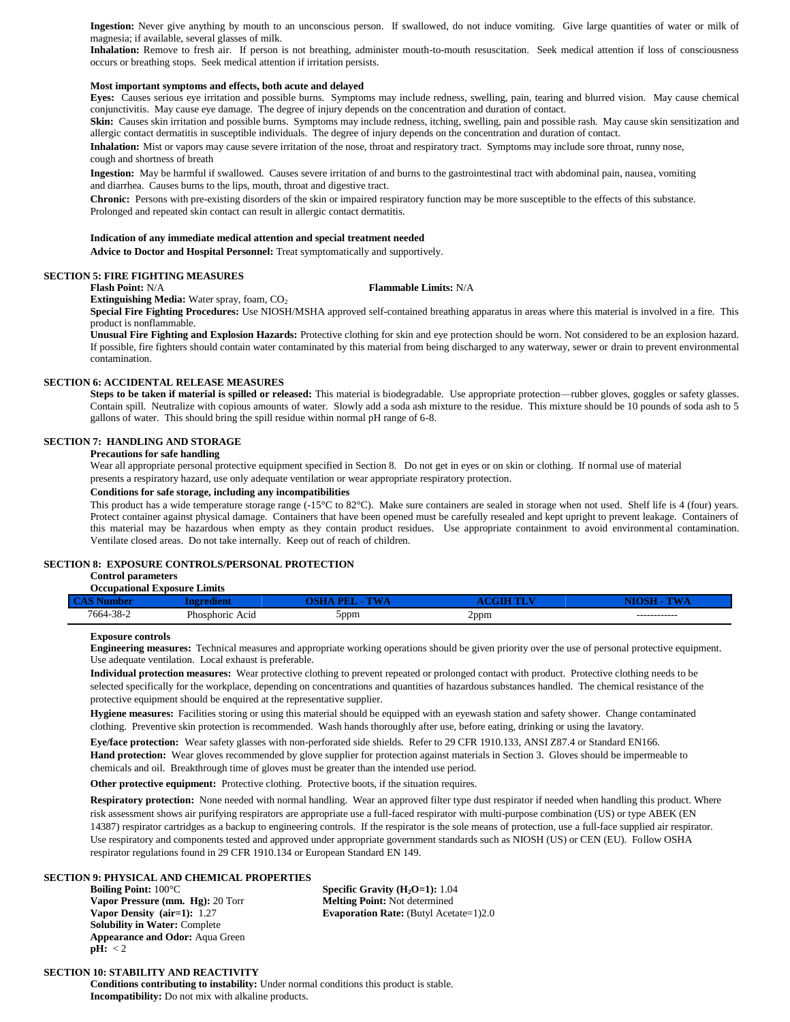Ingestion: Never give anything by mouth to an unconscious person. If swallowed, do not induce vomiting. Give large quantities of water or milk of magnesia; if available, several glasses of milk.

**Inhalation:** Remove to fresh air. If person is not breathing, administer mouth-to-mouth resuscitation. Seek medical attention if loss of consciousness occurs or breathing stops. Seek medical attention if irritation persists.

# **Most important symptoms and effects, both acute and delayed**

**Eyes:** Causes serious eye irritation and possible burns. Symptoms may include redness, swelling, pain, tearing and blurred vision. May cause chemical conjunctivitis. May cause eye damage. The degree of injury depends on the concentration and duration of contact.

Skin: Causes skin irritation and possible burns. Symptoms may include redness, itching, swelling, pain and possible rash. May cause skin sensitization and allergic contact dermatitis in susceptible individuals. The degree of injury depends on the concentration and duration of contact.

**Inhalation:** Mist or vapors may cause severe irritation of the nose, throat and respiratory tract. Symptoms may include sore throat, runny nose, cough and shortness of breath

**Ingestion:** May be harmful if swallowed. Causes severe irritation of and burns to the gastrointestinal tract with abdominal pain, nausea, vomiting and diarrhea. Causes burns to the lips, mouth, throat and digestive tract.

**Chronic:** Persons with pre-existing disorders of the skin or impaired respiratory function may be more susceptible to the effects of this substance. Prolonged and repeated skin contact can result in allergic contact dermatitis.

#### **Indication of any immediate medical attention and special treatment needed**

**Advice to Doctor and Hospital Personnel:** Treat symptomatically and supportively.

# **SECTION 5: FIRE FIGHTING MEASURES**

**Flash Point:** N/A **Flammable Limits:** N/A

**Extinguishing Media:** Water spray, foam, CO<sub>2</sub>

**Special Fire Fighting Procedures:** Use NIOSH/MSHA approved self-contained breathing apparatus in areas where this material is involved in a fire. This product is nonflammable.

**Unusual Fire Fighting and Explosion Hazards:** Protective clothing for skin and eye protection should be worn. Not considered to be an explosion hazard. If possible, fire fighters should contain water contaminated by this material from being discharged to any waterway, sewer or drain to prevent environmental contamination.

# **SECTION 6: ACCIDENTAL RELEASE MEASURES**

**Steps to be taken if material is spilled or released:** This material is biodegradable. Use appropriate protection—rubber gloves, goggles or safety glasses. Contain spill. Neutralize with copious amounts of water. Slowly add a soda ash mixture to the residue. This mixture should be 10 pounds of soda ash to 5 gallons of water. This should bring the spill residue within normal pH range of 6-8.

# **SECTION 7: HANDLING AND STORAGE**

# **Precautions for safe handling**

Wear all appropriate personal protective equipment specified in Section 8. Do not get in eyes or on skin or clothing. If normal use of material presents a respiratory hazard, use only adequate ventilation or wear appropriate respiratory protection.

# **Conditions for safe storage, including any incompatibilities**

This product has a wide temperature storage range (-15°C to 82°C). Make sure containers are sealed in storage when not used. Shelf life is 4 (four) years. Protect container against physical damage. Containers that have been opened must be carefully resealed and kept upright to prevent leakage. Containers of this material may be hazardous when empty as they contain product residues. Use appropriate containment to avoid environmental contamination. Ventilate closed areas. Do not take internally. Keep out of reach of children.

#### **SECTION 8: EXPOSURE CONTROLS/PERSONAL PROTECTION**

#### **Control parameters Occupational Exposure Limits**

| $\sim$ 1.0 $\sim$               |                 |       |                      |              |
|---------------------------------|-----------------|-------|----------------------|--------------|
| $20^{\circ}$<br>7664-.<br>.38-2 | Phosphoric Acid | hppm. | 2ppm<br>$\mathbf{r}$ | ------------ |

# **Exposure controls**

**Engineering measures:** Technical measures and appropriate working operations should be given priority over the use of personal protective equipment. Use adequate ventilation. Local exhaust is preferable.

**Individual protection measures:** Wear protective clothing to prevent repeated or prolonged contact with product. Protective clothing needs to be selected specifically for the workplace, depending on concentrations and quantities of hazardous substances handled. The chemical resistance of the protective equipment should be enquired at the representative supplier.

**Hygiene measures:** Facilities storing or using this material should be equipped with an eyewash station and safety shower. Change contaminated clothing. Preventive skin protection is recommended. Wash hands thoroughly after use, before eating, drinking or using the lavatory.

**Eye/face protection:** Wear safety glasses with non-perforated side shields. Refer to 29 CFR 1910.133, ANSI Z87.4 or Standard EN166.

**Hand protection:** Wear gloves recommended by glove supplier for protection against materials in Section 3. Gloves should be impermeable to chemicals and oil. Breakthrough time of gloves must be greater than the intended use period.

**Other protective equipment:** Protective clothing. Protective boots, if the situation requires.

**Respiratory protection:** None needed with normal handling. Wear an approved filter type dust respirator if needed when handling this product. Where risk assessment shows air purifying respirators are appropriate use a full-faced respirator with multi-purpose combination (US) or type ABEK (EN 14387) respirator cartridges as a backup to engineering controls. If the respirator is the sole means of protection, use a full-face supplied air respirator. Use respiratory and components tested and approved under appropriate government standards such as NIOSH (US) or CEN (EU). Follow OSHA respirator regulations found in 29 CFR 1910.134 or European Standard EN 149.

## **SECTION 9: PHYSICAL AND CHEMICAL PROPERTIES**

**Boiling Point:** 100°C **Specific Gravity (H<sub>2</sub>O=1):** 1.04 **Vapor Pressure (mm. Hg):** 20 Torr **Melting Point:** Not determined **Solubility in Water:** Complete **Appearance and Odor:** Aqua Green **pH:** < 2

**Vapor Density (air=1):** 1.27 **Evaporation Rate:** (Butyl Acetate=1)2.0

# **SECTION 10: STABILITY AND REACTIVITY**

**Conditions contributing to instability:** Under normal conditions this product is stable. **Incompatibility:** Do not mix with alkaline products.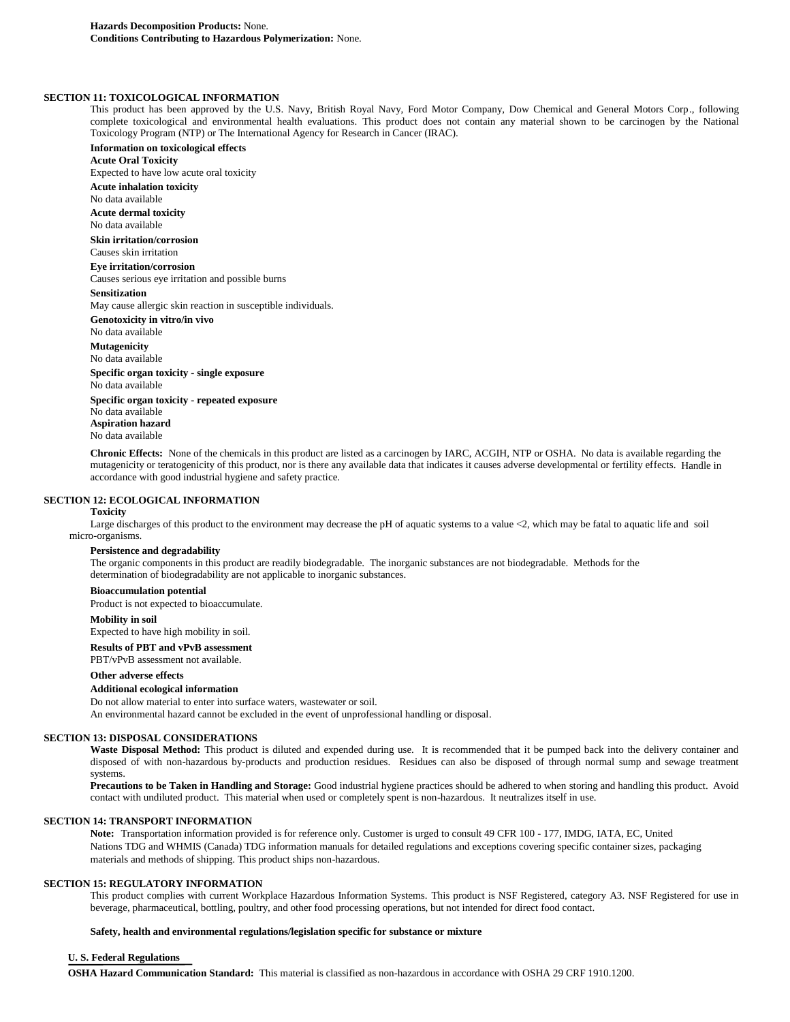# **SECTION 11: TOXICOLOGICAL INFORMATION**

This product has been approved by the U.S. Navy, British Royal Navy, Ford Motor Company, Dow Chemical and General Motors Corp., following complete toxicological and environmental health evaluations. This product does not contain any material shown to be carcinogen by the National Toxicology Program (NTP) or The International Agency for Research in Cancer (IRAC).

**Information on toxicological effects Acute Oral Toxicity** Expected to have low acute oral toxicity **Acute inhalation toxicity** No data available **Acute dermal toxicity** No data available **Skin irritation/corrosion** Causes skin irritation **Eye irritation/corrosion** Causes serious eye irritation and possible burns **Sensitization** May cause allergic skin reaction in susceptible individuals. **Genotoxicity in vitro/in vivo** No data available **Mutagenicity** No data available **Specific organ toxicity - single exposure** No data available **Specific organ toxicity - repeated exposure** No data available

**Aspiration hazard** No data available

**Chronic Effects:** None of the chemicals in this product are listed as a carcinogen by IARC, ACGIH, NTP or OSHA. No data is available regarding the mutagenicity or teratogenicity of this product, nor is there any available data that indicates it causes adverse developmental or fertility effects. Handle in accordance with good industrial hygiene and safety practice.

#### **SECTION 12: ECOLOGICAL INFORMATION**

#### **Toxicity**

Large discharges of this product to the environment may decrease the pH of aquatic systems to a value <2, which may be fatal to aquatic life and soil micro-organisms.

## **Persistence and degradability**

The organic components in this product are readily biodegradable. The inorganic substances are not biodegradable. Methods for the determination of biodegradability are not applicable to inorganic substances.

# **Bioaccumulation potential**

Product is not expected to bioaccumulate.

#### **Mobility in soil**

Expected to have high mobility in soil.

**Results of PBT and vPvB assessment**

PBT/vPvB assessment not available.

# **Other adverse effects**

# **Additional ecological information**

Do not allow material to enter into surface waters, wastewater or soil.

An environmental hazard cannot be excluded in the event of unprofessional handling or disposal.

# **SECTION 13: DISPOSAL CONSIDERATIONS**

Waste Disposal Method: This product is diluted and expended during use. It is recommended that it be pumped back into the delivery container and disposed of with non-hazardous by-products and production residues. Residues can also be disposed of through normal sump and sewage treatment systems.

**Precautions to be Taken in Handling and Storage:** Good industrial hygiene practices should be adhered to when storing and handling this product. Avoid contact with undiluted product. This material when used or completely spent is non-hazardous. It neutralizes itself in use.

# **SECTION 14: TRANSPORT INFORMATION**

**Note:** Transportation information provided is for reference only. Customer is urged to consult 49 CFR 100 - 177, IMDG, IATA, EC, United Nations TDG and WHMIS (Canada) TDG information manuals for detailed regulations and exceptions covering specific container sizes, packaging materials and methods of shipping. This product ships non-hazardous.

# **SECTION 15: REGULATORY INFORMATION**

This product complies with current Workplace Hazardous Information Systems. This product is NSF Registered, category A3. NSF Registered for use in beverage, pharmaceutical, bottling, poultry, and other food processing operations, but not intended for direct food contact.

#### **Safety, health and environmental regulations/legislation specific for substance or mixture**

## **U. S. Federal Regulations**

**OSHA Hazard Communication Standard:** This material is classified as non-hazardous in accordance with OSHA 29 CRF 1910.1200.